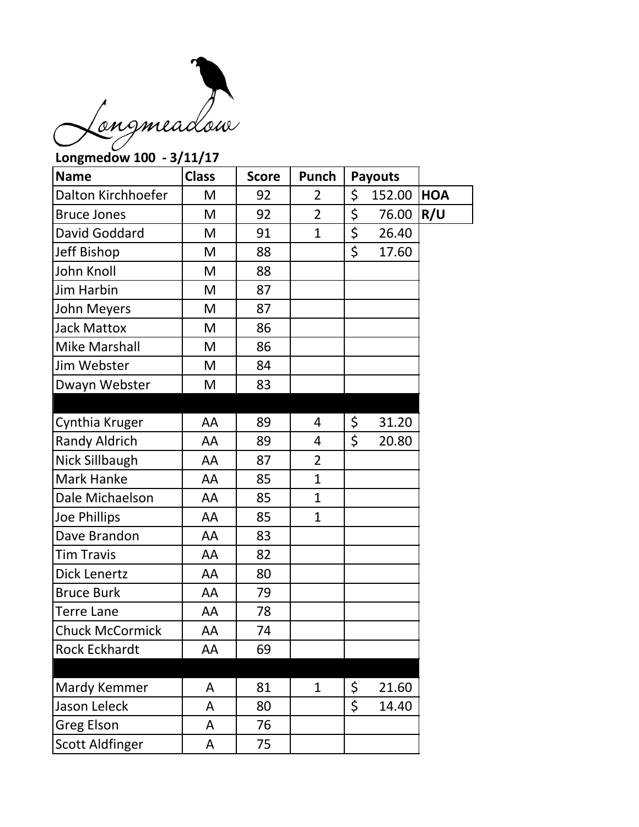

## **Longmedow 100 - 3/11/17 Name Class** Score Punch Payouts Dalton Kirchhoefer  $\vert$  M  $\vert$  92  $\vert$  2  $\vert$  \$ 152.00 **HOA** Bruce Jones  $\begin{vmatrix} M & 92 & 2 & 5 & 76.00 \end{vmatrix}$  **R/U** David Goddard  $\begin{vmatrix} M & 91 & 1 \end{vmatrix}$  \$ 26.40 Jeff Bishop  $\vert$  M  $\vert$  88  $\vert$   $\vert$  \$ 17.60 John Knoll M 88 Jim Harbin M 87 John Meyers | M | 87 Jack Mattox  $\parallel$  M  $\parallel$  86 Mike Marshall  $\parallel$  M | 86 Jim Webster  $\parallel$  M  $\parallel$  84 Dwayn Webster | M | 83 Cynthia Kruger  $\begin{vmatrix} A & 89 & 4 \end{vmatrix}$   $\begin{vmatrix} 5 & 31.20 \end{vmatrix}$ Randy Aldrich  $\begin{array}{|c|c|c|c|c|c|} \hline \end{array}$  AA  $\begin{array}{|c|c|c|c|c|} \hline \end{array}$  89  $\begin{array}{|c|c|c|c|} \hline \end{array}$  4  $\begin{array}{|c|c|c|c|} \hline \end{array}$  20.80 Nick Sillbaugh | AA | 87 | 2 Mark Hanke  $\begin{array}{|c|c|c|c|c|c|} \hline \text{Mark Hanke} & \text{A} & \text{85} & \text{1} & \text{1} \ \hline \end{array}$ Dale Michaelson | AA | 85 | 1 Joe Phillips  $\begin{array}{|c|c|c|c|c|c|} \hline \end{array}$  AA  $\begin{array}{|c|c|c|c|c|} \hline \end{array}$  85  $\begin{array}{|c|c|c|c|c|} \hline \end{array}$ Dave Brandon | AA | 83 Tim Travis  $\begin{array}{|c|c|c|c|c|c|} \hline \text{A} & \text{A} & \text{B2} \ \hline \end{array}$ Dick Lenertz | AA | 80 Bruce Burk  $\overline{)}$  AA | 79 Terre Lane  $\overline{A}$  | AA | 78 Chuck McCormick | AA | 74 Rock Eckhardt | AA | 69 Mardy Kemmer | A | 81 | 1 | \$ 21.60 Jason Leleck  $\begin{array}{|c|c|c|c|c|c|} \hline \end{array}$  A  $\begin{array}{|c|c|c|c|c|} \hline \end{array}$  80  $\begin{array}{|c|c|c|c|c|} \hline \end{array}$  5 14.40 Greg Elson | A | 76 Scott Aldfinger | A | 75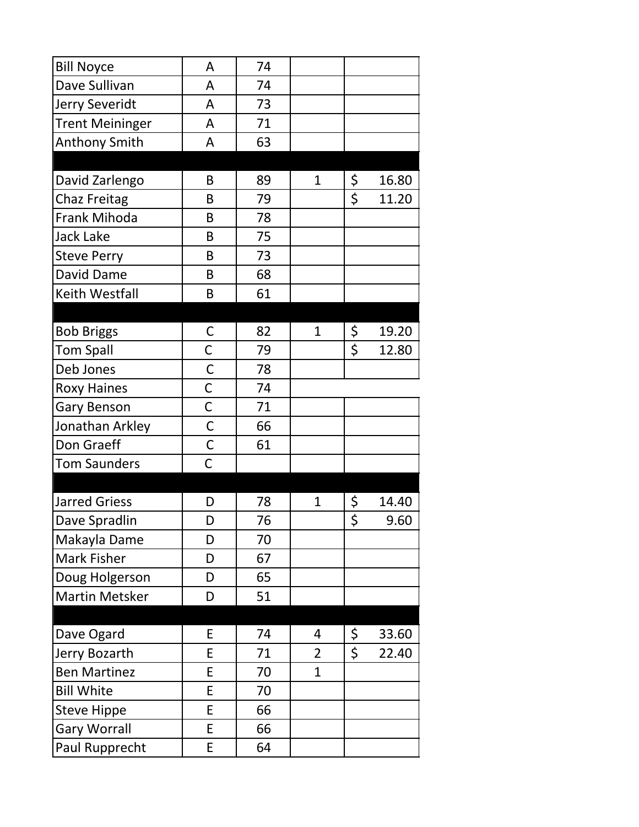| <b>Bill Noyce</b>      | A            | 74 |                |        |       |
|------------------------|--------------|----|----------------|--------|-------|
| Dave Sullivan          | A            | 74 |                |        |       |
| Jerry Severidt         | A            | 73 |                |        |       |
| <b>Trent Meininger</b> | A            | 71 |                |        |       |
| <b>Anthony Smith</b>   | A            | 63 |                |        |       |
|                        |              |    |                |        |       |
| David Zarlengo         | B            | 89 | $\mathbf{1}$   | \$     | 16.80 |
| <b>Chaz Freitag</b>    | B            | 79 |                | \$     | 11.20 |
| <b>Frank Mihoda</b>    | B            | 78 |                |        |       |
| Jack Lake              | B            | 75 |                |        |       |
| <b>Steve Perry</b>     | B            | 73 |                |        |       |
| David Dame             | B            | 68 |                |        |       |
| Keith Westfall         | B            | 61 |                |        |       |
|                        |              |    |                |        |       |
| <b>Bob Briggs</b>      | C            | 82 | $\mathbf{1}$   | \$     | 19.20 |
| <b>Tom Spall</b>       | C            | 79 |                | \$     | 12.80 |
| Deb Jones              | $\mathsf C$  | 78 |                |        |       |
| <b>Roxy Haines</b>     | $\mathsf C$  | 74 |                |        |       |
| Gary Benson            | $\mathsf{C}$ | 71 |                |        |       |
| Jonathan Arkley        | $\mathsf C$  | 66 |                |        |       |
| Don Graeff             | $\mathsf C$  | 61 |                |        |       |
| <b>Tom Saunders</b>    | $\mathsf C$  |    |                |        |       |
|                        |              |    |                |        |       |
| <b>Jarred Griess</b>   | D            | 78 | 1              | \$     | 14.40 |
| Dave Spradlin          | D            | 76 |                | ς<br>٢ | 9.60  |
| Makayla Dame           | D            | 70 |                |        |       |
| Mark Fisher            | D            | 67 |                |        |       |
| Doug Holgerson         | D            | 65 |                |        |       |
| <b>Martin Metsker</b>  | D            | 51 |                |        |       |
|                        |              |    |                |        |       |
| Dave Ogard             | E            | 74 | 4              | \$     | 33.60 |
| Jerry Bozarth          | E            | 71 | $\overline{2}$ | \$     | 22.40 |
| <b>Ben Martinez</b>    | E            | 70 | $\overline{1}$ |        |       |
| <b>Bill White</b>      | E            | 70 |                |        |       |
| <b>Steve Hippe</b>     | E            | 66 |                |        |       |
| <b>Gary Worrall</b>    | E            | 66 |                |        |       |
| Paul Rupprecht         | E            | 64 |                |        |       |